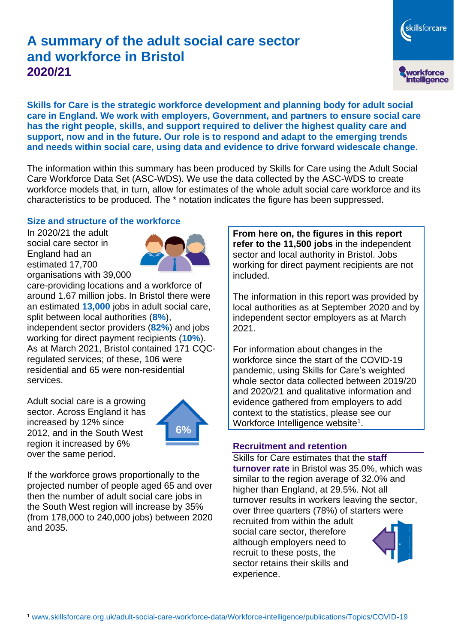# **A summary of the adult social care sector and workforce in Bristol 2020/21**

skillsforcare workforce<br>intelligence

**Skills for Care is the strategic workforce development and planning body for adult social care in England. We work with employers, Government, and partners to ensure social care has the right people, skills, and support required to deliver the highest quality care and support, now and in the future. Our role is to respond and adapt to the emerging trends and needs within social care, using data and evidence to drive forward widescale change.**

The information within this summary has been produced by Skills for Care using the Adult Social Care Workforce Data Set (ASC-WDS). We use the data collected by the ASC-WDS to create workforce models that, in turn, allow for estimates of the whole adult social care workforce and its characteristics to be produced. The \* notation indicates the figure has been suppressed.

#### **Size and structure of the workforce**

In 2020/21 the adult social care sector in England had an estimated 17,700 organisations with 39,000



care-providing locations and a workforce of around 1.67 million jobs. In Bristol there were an estimated **13,000** jobs in adult social care, split between local authorities (**8%**), independent sector providers (**82%**) and jobs working for direct payment recipients (**10%**). As at March 2021, Bristol contained 171 CQCregulated services; of these, 106 were residential and 65 were non-residential services.

Adult social care is a growing sector. Across England it has increased by 12% since 2012, and in the South West region it increased by 6% over the same period.



If the workforce grows proportionally to the projected number of people aged 65 and over then the number of adult social care jobs in the South West region will increase by 35% (from 178,000 to 240,000 jobs) between 2020 and 2035.

**From here on, the figures in this report refer to the 11,500 jobs** in the independent sector and local authority in Bristol. Jobs working for direct payment recipients are not included.

The information in this report was provided by local authorities as at September 2020 and by independent sector employers as at March 2021.

For information about changes in the workforce since the start of the COVID-19 pandemic, using Skills for Care's weighted whole sector data collected between 2019/20 and 2020/21 and qualitative information and evidence gathered from employers to add context to the statistics, please see our Workforce Intelligence website<sup>1</sup>.

#### **Recruitment and retention**

Skills for Care estimates that the **staff turnover rate** in Bristol was 35.0%, which was similar to the region average of 32.0% and higher than England, at 29.5%. Not all turnover results in workers leaving the sector, over three quarters (78%) of starters were recruited from within the adult

social care sector, therefore although employers need to recruit to these posts, the sector retains their skills and experience.

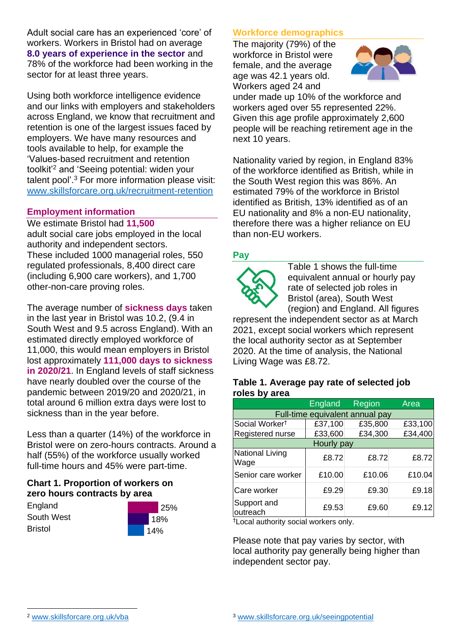Adult social care has an experienced 'core' of workers. Workers in Bristol had on average **8.0 years of experience in the sector** and 78% of the workforce had been working in the sector for at least three years.

Using both workforce intelligence evidence and our links with employers and stakeholders across England, we know that recruitment and retention is one of the largest issues faced by employers. We have many resources and tools available to help, for example the 'Values-based recruitment and retention toolkit'<sup>2</sup> and 'Seeing potential: widen your talent pool'. <sup>3</sup> For more information please visit: [www.skillsforcare.org.uk/recruitment-retention](http://www.skillsforcare.org.uk/recruitment-retention)

### **Employment information**

We estimate Bristol had **11,500** adult social care jobs employed in the local authority and independent sectors. These included 1000 managerial roles, 550 regulated professionals, 8,400 direct care (including 6,900 care workers), and 1,700 other-non-care proving roles.

The average number of **sickness days** taken in the last year in Bristol was 10.2, (9.4 in South West and 9.5 across England). With an estimated directly employed workforce of 11,000, this would mean employers in Bristol lost approximately **111,000 days to sickness in 2020/21**. In England levels of staff sickness have nearly doubled over the course of the pandemic between 2019/20 and 2020/21, in total around 6 million extra days were lost to sickness than in the year before.

Less than a quarter (14%) of the workforce in Bristol were on zero-hours contracts. Around a half (55%) of the workforce usually worked full-time hours and 45% were part-time.

### **Chart 1. Proportion of workers on zero hours contracts by area**

**England** South West Bristol



## **Workforce demographics**

The majority (79%) of the workforce in Bristol were female, and the average age was 42.1 years old. Workers aged 24 and



under made up 10% of the workforce and workers aged over 55 represented 22%. Given this age profile approximately 2,600 people will be reaching retirement age in the next 10 years.

Nationality varied by region, in England 83% of the workforce identified as British, while in the South West region this was 86%. An estimated 79% of the workforce in Bristol identified as British, 13% identified as of an EU nationality and 8% a non-EU nationality, therefore there was a higher reliance on EU than non-EU workers.

### **Pay**



Table 1 shows the full-time equivalent annual or hourly pay rate of selected job roles in Bristol (area), South West (region) and England. All figures

represent the independent sector as at March 2021, except social workers which represent the local authority sector as at September 2020. At the time of analysis, the National Living Wage was £8.72.

#### **Table 1. Average pay rate of selected job roles by area**

|                                 | <b>England</b> | <b>Region</b> | Area    |
|---------------------------------|----------------|---------------|---------|
| Full-time equivalent annual pay |                |               |         |
| Social Worker <sup>t</sup>      | £37,100        | £35,800       | £33,100 |
| Registered nurse                | £33,600        | £34,300       | £34,400 |
| Hourly pay                      |                |               |         |
| National Living<br>Wage         | £8.72          | £8.72         | £8.72   |
| Senior care worker              | £10.00         | £10.06        | £10.04  |
| Care worker                     | £9.29          | £9.30         | £9.18   |
| Support and<br>outreach         | £9.53          | £9.60         | £9.12   |

†Local authority social workers only.

Please note that pay varies by sector, with local authority pay generally being higher than independent sector pay.